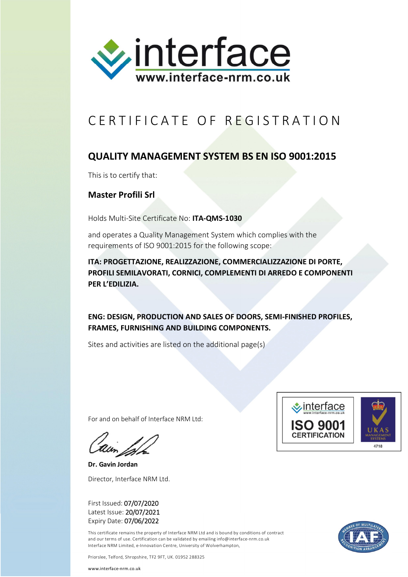

## CERTIFICATE OF REGISTRATION

## **QUALITY MANAGEMENT SYSTEM BS EN ISO 9001:2015**

This is to certify that:

## **Master Profili Srl**

Holds Multi-Site Certificate No: **ITA-QMS-1030**

and operates a Quality Management System which complies with the requirements of ISO 9001:2015 for the following scope:

**ITA: PROGETTAZIONE, REALIZZAZIONE, COMMERCIALIZZAZIONE DI PORTE, PROFILI SEMILAVORATI, CORNICI, COMPLEMENTI DI ARREDO E COMPONENTI PER L'EDILIZIA.**

**ENG: DESIGN, PRODUCTION AND SALES OF DOORS, SEMI-FINISHED PROFILES, FRAMES, FURNISHING AND BUILDING COMPONENTS.**

Sites and activities are listed on the additional page(s)

For and on behalf of Interface NRM Ltd:

**Dr. Gavin Jordan** Director, Interface NRM Ltd.

First Issued: 07/07/2020 Latest Issue: 20/07/2021 Expiry Date: 07/06/2022

This certificate remains the property of Interface NRM Ltd and is bound by conditions of contract and our terms of use. Certification can be validated by emailing info@interface-nrm.co.uk Interface NRM Limited, e-Innovation Centre, University of Wolverhampton,